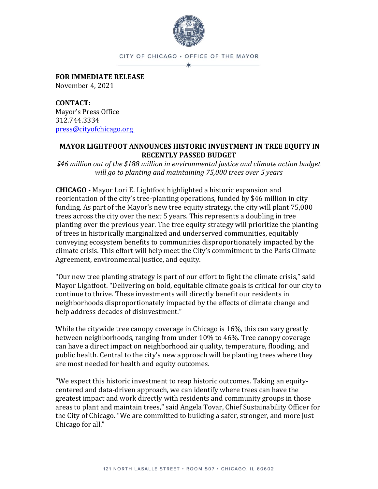

CITY OF CHICAGO . OFFICE OF THE MAYOR ∗

**FOR IMMEDIATE RELEASE** November 4, 2021

**CONTACT:** Mayor's Press Office 312.744.3334 [press@cityofchicago.org](mailto:press@cityofchicago.org)

## **MAYOR LIGHTFOOT ANNOUNCES HISTORIC INVESTMENT IN TREE EQUITY IN RECENTLY PASSED BUDGET**

*\$46 million out of the \$188 million in environmental justice and climate action budget will go to planting and maintaining 75,000 trees over 5 years*

**CHICAGO** - Mayor Lori E. Lightfoot highlighted a historic expansion and reorientation of the city's tree-planting operations, funded by \$46 million in city funding. As part of the Mayor's new tree equity strategy, the city will plant 75,000 trees across the city over the next 5 years. This represents a doubling in tree planting over the previous year. The tree equity strategy will prioritize the planting of trees in historically marginalized and underserved communities, equitably conveying ecosystem benefits to communities disproportionately impacted by the climate crisis. This effort will help meet the City's commitment to the Paris Climate Agreement, environmental justice, and equity.

"Our new tree planting strategy is part of our effort to fight the climate crisis," said Mayor Lightfoot. "Delivering on bold, equitable climate goals is critical for our city to continue to thrive. These investments will directly benefit our residents in neighborhoods disproportionately impacted by the effects of climate change and help address decades of disinvestment."

While the citywide tree canopy coverage in Chicago is 16%, this can vary greatly between neighborhoods, ranging from under 10% to 46%. Tree canopy coverage can have a direct impact on neighborhood air quality, temperature, flooding, and public health. Central to the city's new approach will be planting trees where they are most needed for health and equity outcomes.

"We expect this historic investment to reap historic outcomes. Taking an equitycentered and data-driven approach, we can identify where trees can have the greatest impact and work directly with residents and community groups in those areas to plant and maintain trees," said Angela Tovar, Chief Sustainability Officer for the City of Chicago. "We are committed to building a safer, stronger, and more just Chicago for all."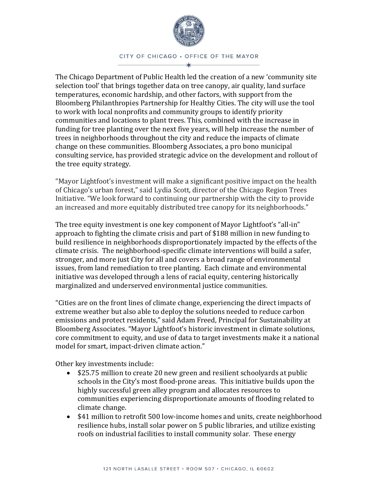

CITY OF CHICAGO · OFFICE OF THE MAYOR

The Chicago Department of Public Health led the creation of a new 'community site selection tool' that brings together data on tree canopy, air quality, land surface temperatures, economic hardship, and other factors, with support from the Bloomberg Philanthropies Partnership for Healthy Cities. The city will use the tool to work with local nonprofits and community groups to identify priority communities and locations to plant trees. This, combined with the increase in funding for tree planting over the next five years, will help increase the number of trees in neighborhoods throughout the city and reduce the impacts of climate change on these communities. Bloomberg Associates, a pro bono municipal consulting service, has provided strategic advice on the development and rollout of the tree equity strategy.

"Mayor Lightfoot's investment will make a significant positive impact on the health of Chicago's urban forest," said Lydia Scott, director of the Chicago Region Trees Initiative. "We look forward to continuing our partnership with the city to provide an increased and more equitably distributed tree canopy for its neighborhoods."

The tree equity investment is one key component of Mayor Lightfoot's "all-in" approach to fighting the climate crisis and part of \$188 million in new funding to build resilience in neighborhoods disproportionately impacted by the effects of the climate crisis. The neighborhood-specific climate interventions will build a safer, stronger, and more just City for all and covers a broad range of environmental issues, from land remediation to tree planting. Each climate and environmental initiative was developed through a lens of racial equity, centering historically marginalized and underserved environmental justice communities.

"Cities are on the front lines of climate change, experiencing the direct impacts of extreme weather but also able to deploy the solutions needed to reduce carbon emissions and protect residents," said Adam Freed, Principal for Sustainability at Bloomberg Associates. "Mayor Lightfoot's historic investment in climate solutions, core commitment to equity, and use of data to target investments make it a national model for smart, impact-driven climate action."

Other key investments include:

- \$25.75 million to create 20 new green and resilient schoolyards at public schools in the City's most flood-prone areas. This initiative builds upon the highly successful green alley program and allocates resources to communities experiencing disproportionate amounts of flooding related to climate change.
- \$41 million to retrofit 500 low-income homes and units, create neighborhood resilience hubs, install solar power on 5 public libraries, and utilize existing roofs on industrial facilities to install community solar. These energy